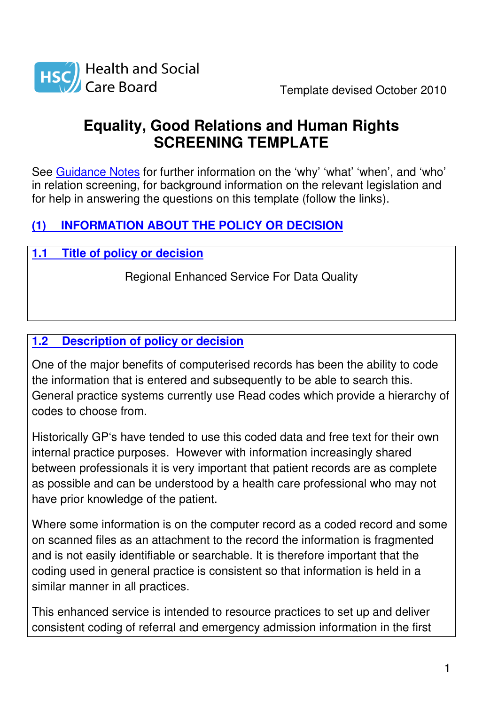

# **Equality, Good Relations and Human Rights SCREENING TEMPLATE**

See Guidance Notes for further information on the 'why' 'what' 'when', and 'who' in relation screening, for background information on the relevant legislation and for help in answering the questions on this template (follow the links).

# **(1) INFORMATION ABOUT THE POLICY OR DECISION**

# **1.1 Title of policy or decision**

Regional Enhanced Service For Data Quality

## **1.2 Description of policy or decision**

One of the major benefits of computerised records has been the ability to code the information that is entered and subsequently to be able to search this. General practice systems currently use Read codes which provide a hierarchy of codes to choose from.

Historically GP's have tended to use this coded data and free text for their own internal practice purposes. However with information increasingly shared between professionals it is very important that patient records are as complete as possible and can be understood by a health care professional who may not have prior knowledge of the patient.

Where some information is on the computer record as a coded record and some on scanned files as an attachment to the record the information is fragmented and is not easily identifiable or searchable. It is therefore important that the coding used in general practice is consistent so that information is held in a similar manner in all practices.

This enhanced service is intended to resource practices to set up and deliver consistent coding of referral and emergency admission information in the first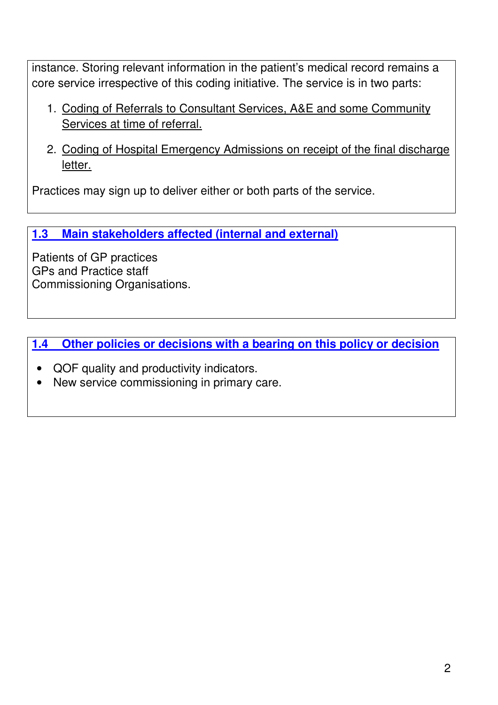instance. Storing relevant information in the patient's medical record remains a core service irrespective of this coding initiative. The service is in two parts:

- 1. Coding of Referrals to Consultant Services, A&E and some Community Services at time of referral.
- 2. Coding of Hospital Emergency Admissions on receipt of the final discharge letter.

Practices may sign up to deliver either or both parts of the service.

**1.3 Main stakeholders affected (internal and external)**

Patients of GP practices GPs and Practice staff Commissioning Organisations.

**1.4 Other policies or decisions with a bearing on this policy or decision**

- QOF quality and productivity indicators.
- New service commissioning in primary care.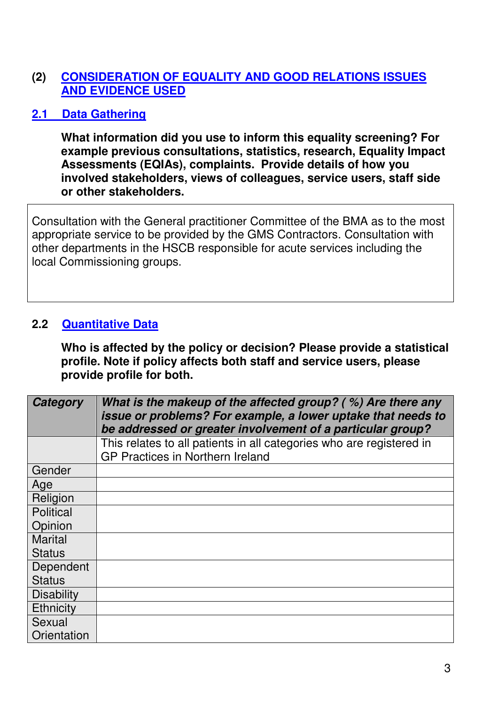## **(2) CONSIDERATION OF EQUALITY AND GOOD RELATIONS ISSUES AND EVIDENCE USED**

## **2.1 Data Gathering**

**What information did you use to inform this equality screening? For example previous consultations, statistics, research, Equality Impact Assessments (EQIAs), complaints. Provide details of how you involved stakeholders, views of colleagues, service users, staff side or other stakeholders.** 

Consultation with the General practitioner Committee of the BMA as to the most appropriate service to be provided by the GMS Contractors. Consultation with other departments in the HSCB responsible for acute services including the local Commissioning groups.

#### **2.2 Quantitative Data**

**Who is affected by the policy or decision? Please provide a statistical profile. Note if policy affects both staff and service users, please provide profile for both.** 

| Category          | What is the makeup of the affected group? $( %)$ Are there any<br>issue or problems? For example, a lower uptake that needs to<br>be addressed or greater involvement of a particular group? |  |  |
|-------------------|----------------------------------------------------------------------------------------------------------------------------------------------------------------------------------------------|--|--|
|                   | This relates to all patients in all categories who are registered in                                                                                                                         |  |  |
|                   | <b>GP Practices in Northern Ireland</b>                                                                                                                                                      |  |  |
| Gender            |                                                                                                                                                                                              |  |  |
| Age               |                                                                                                                                                                                              |  |  |
| Religion          |                                                                                                                                                                                              |  |  |
| <b>Political</b>  |                                                                                                                                                                                              |  |  |
| Opinion           |                                                                                                                                                                                              |  |  |
| <b>Marital</b>    |                                                                                                                                                                                              |  |  |
| <b>Status</b>     |                                                                                                                                                                                              |  |  |
| Dependent         |                                                                                                                                                                                              |  |  |
| <b>Status</b>     |                                                                                                                                                                                              |  |  |
| <b>Disability</b> |                                                                                                                                                                                              |  |  |
| Ethnicity         |                                                                                                                                                                                              |  |  |
| Sexual            |                                                                                                                                                                                              |  |  |
| Orientation       |                                                                                                                                                                                              |  |  |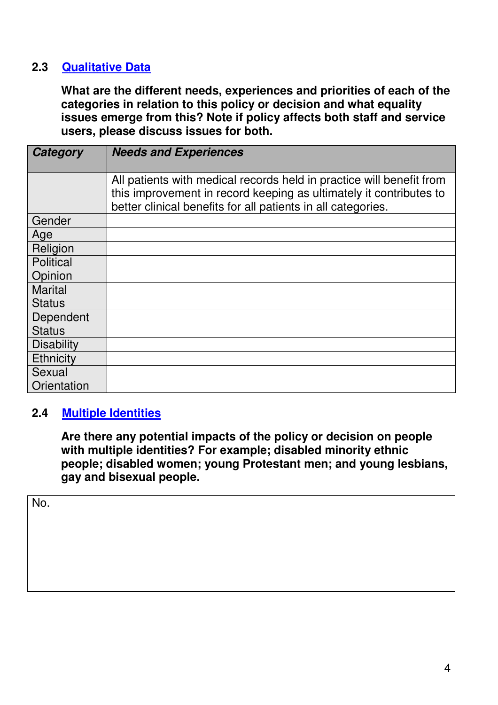## **2.3 Qualitative Data**

**What are the different needs, experiences and priorities of each of the categories in relation to this policy or decision and what equality issues emerge from this? Note if policy affects both staff and service users, please discuss issues for both.** 

| Category          | <b>Needs and Experiences</b>                                                                                                                                                                               |
|-------------------|------------------------------------------------------------------------------------------------------------------------------------------------------------------------------------------------------------|
|                   | All patients with medical records held in practice will benefit from<br>this improvement in record keeping as ultimately it contributes to<br>better clinical benefits for all patients in all categories. |
| Gender            |                                                                                                                                                                                                            |
| Age               |                                                                                                                                                                                                            |
| Religion          |                                                                                                                                                                                                            |
| <b>Political</b>  |                                                                                                                                                                                                            |
| Opinion           |                                                                                                                                                                                                            |
| <b>Marital</b>    |                                                                                                                                                                                                            |
| <b>Status</b>     |                                                                                                                                                                                                            |
| Dependent         |                                                                                                                                                                                                            |
| <b>Status</b>     |                                                                                                                                                                                                            |
| <b>Disability</b> |                                                                                                                                                                                                            |
| <b>Ethnicity</b>  |                                                                                                                                                                                                            |
| Sexual            |                                                                                                                                                                                                            |
| Orientation       |                                                                                                                                                                                                            |

#### **2.4 Multiple Identities**

**Are there any potential impacts of the policy or decision on people with multiple identities? For example; disabled minority ethnic people; disabled women; young Protestant men; and young lesbians, gay and bisexual people.** 

No.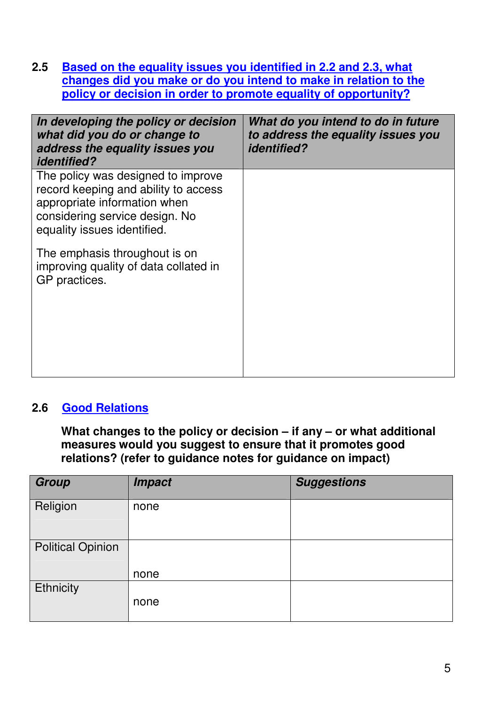**2.5 Based on the equality issues you identified in 2.2 and 2.3, what changes did you make or do you intend to make in relation to the policy or decision in order to promote equality of opportunity?**

| In developing the policy or decision<br>what did you do or change to<br>address the equality issues you<br><i>identified?</i>                                               | What do you intend to do in future<br>to address the equality issues you<br><i>identified?</i> |
|-----------------------------------------------------------------------------------------------------------------------------------------------------------------------------|------------------------------------------------------------------------------------------------|
| The policy was designed to improve<br>record keeping and ability to access<br>appropriate information when<br>considering service design. No<br>equality issues identified. |                                                                                                |
| The emphasis throughout is on<br>improving quality of data collated in<br>GP practices.                                                                                     |                                                                                                |
|                                                                                                                                                                             |                                                                                                |

#### **2.6 Good Relations**

**What changes to the policy or decision – if any – or what additional measures would you suggest to ensure that it promotes good relations? (refer to guidance notes for guidance on impact)** 

| <b>Impact</b> | <b>Suggestions</b> |
|---------------|--------------------|
| none          |                    |
|               |                    |
| none          |                    |
| none          |                    |
|               |                    |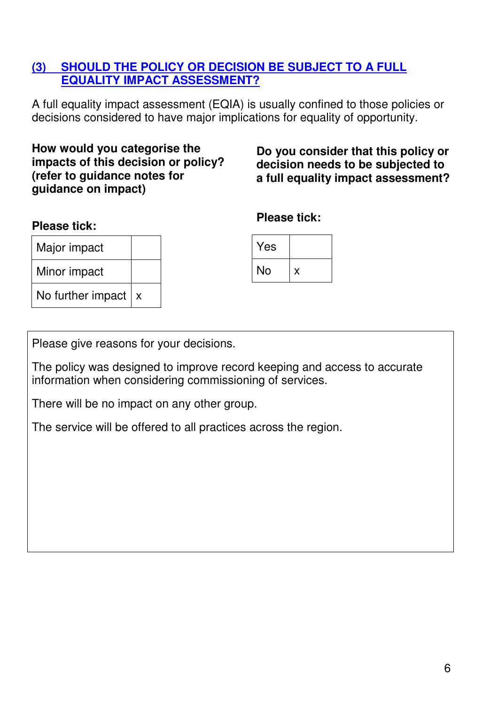#### **(3) SHOULD THE POLICY OR DECISION BE SUBJECT TO A FULL EQUALITY IMPACT ASSESSMENT?**

A full equality impact assessment (EQIA) is usually confined to those policies or decisions considered to have major implications for equality of opportunity.

**How would you categorise the impacts of this decision or policy? (refer to guidance notes for guidance on impact)** 

**Do you consider that this policy or decision needs to be subjected to a full equality impact assessment?** 

#### **Please tick:**

| Major impact          |  |
|-----------------------|--|
| Minor impact          |  |
| No further impact $x$ |  |

| <b>Please tick:</b> |  |
|---------------------|--|
|---------------------|--|

| Yes |   |
|-----|---|
| No  | x |

Please give reasons for your decisions.

The policy was designed to improve record keeping and access to accurate information when considering commissioning of services.

There will be no impact on any other group.

The service will be offered to all practices across the region.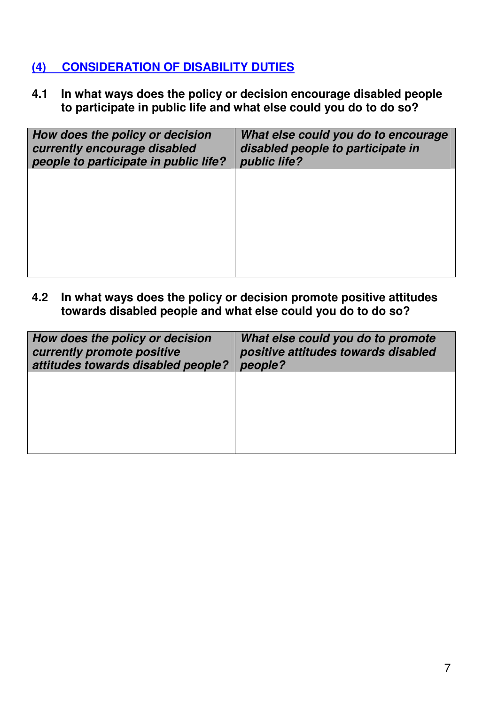## **(4) CONSIDERATION OF DISABILITY DUTIES**

**4.1 In what ways does the policy or decision encourage disabled people to participate in public life and what else could you do to do so?** 

| How does the policy or decision<br>currently encourage disabled<br>people to participate in public life? | What else could you do to encourage<br>disabled people to participate in<br>public life? |
|----------------------------------------------------------------------------------------------------------|------------------------------------------------------------------------------------------|
|                                                                                                          |                                                                                          |
|                                                                                                          |                                                                                          |
|                                                                                                          |                                                                                          |

**4.2 In what ways does the policy or decision promote positive attitudes towards disabled people and what else could you do to do so?** 

| How does the policy or decision<br>currently promote positive<br>attitudes towards disabled people? | What else could you do to promote<br>positive attitudes towards disabled<br>people? |
|-----------------------------------------------------------------------------------------------------|-------------------------------------------------------------------------------------|
|                                                                                                     |                                                                                     |
|                                                                                                     |                                                                                     |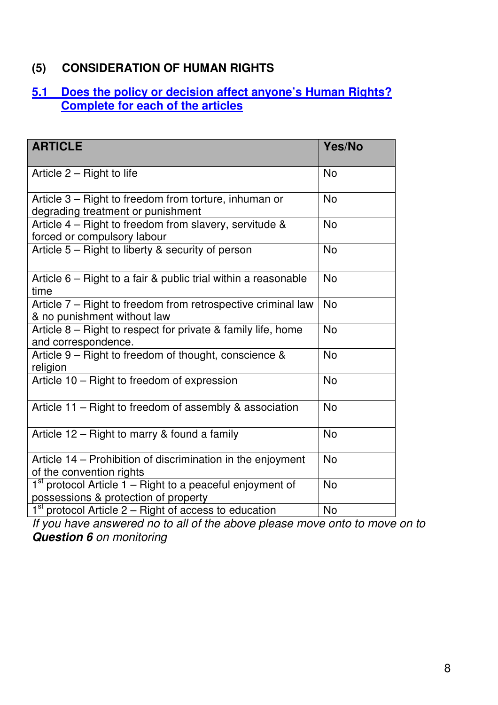## **(5) CONSIDERATION OF HUMAN RIGHTS**

#### **5.1 Does the policy or decision affect anyone's Human Rights? Complete for each of the articles**

| <b>ARTICLE</b>                                                                                      | Yes/No    |
|-----------------------------------------------------------------------------------------------------|-----------|
| Article $2 -$ Right to life                                                                         | <b>No</b> |
| Article 3 – Right to freedom from torture, inhuman or<br>degrading treatment or punishment          | <b>No</b> |
| Article 4 – Right to freedom from slavery, servitude &<br>forced or compulsory labour               | <b>No</b> |
| Article 5 – Right to liberty & security of person                                                   | <b>No</b> |
| Article $6$ – Right to a fair & public trial within a reasonable<br>time                            | <b>No</b> |
| Article 7 – Right to freedom from retrospective criminal law<br>& no punishment without law         | <b>No</b> |
| Article 8 - Right to respect for private & family life, home<br>and correspondence.                 | <b>No</b> |
| Article 9 – Right to freedom of thought, conscience &<br>religion                                   | <b>No</b> |
| Article 10 - Right to freedom of expression                                                         | <b>No</b> |
| Article 11 – Right to freedom of assembly & association                                             | <b>No</b> |
| Article 12 – Right to marry & found a family                                                        | <b>No</b> |
| Article 14 - Prohibition of discrimination in the enjoyment<br>of the convention rights             | <b>No</b> |
| $1st$ protocol Article 1 – Right to a peaceful enjoyment of<br>possessions & protection of property | <b>No</b> |
| $1st$ protocol Article 2 – Right of access to education                                             | <b>No</b> |

If you have answered no to all of the above please move onto to move on to **Question 6** on monitoring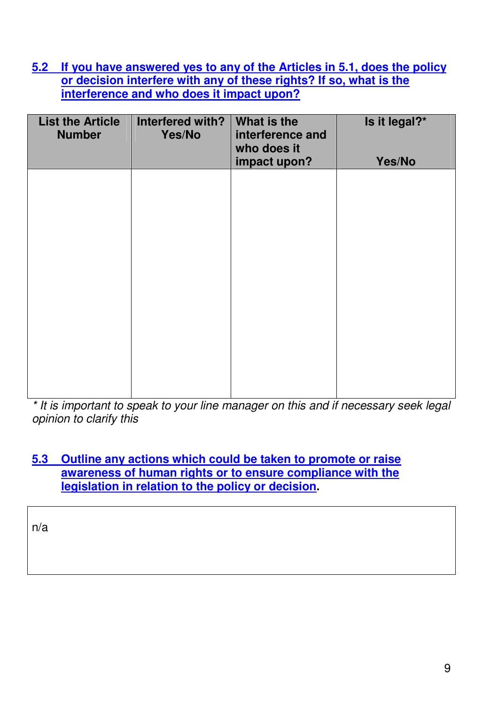**5.2 If you have answered yes to any of the Articles in 5.1, does the policy or decision interfere with any of these rights? If so, what is the interference and who does it impact upon?**

| <b>List the Article</b><br><b>Number</b> | Interfered with?<br>Yes/No | What is the<br>interference and<br>who does it | Is it legal?* |
|------------------------------------------|----------------------------|------------------------------------------------|---------------|
|                                          |                            | impact upon?                                   | Yes/No        |
|                                          |                            |                                                |               |
|                                          |                            |                                                |               |
|                                          |                            |                                                |               |
|                                          |                            |                                                |               |
|                                          |                            |                                                |               |
|                                          |                            |                                                |               |
|                                          |                            |                                                |               |
|                                          |                            |                                                |               |
|                                          |                            |                                                |               |
|                                          |                            |                                                |               |

\* It is important to speak to your line manager on this and if necessary seek legal opinion to clarify this

#### **5.3 Outline any actions which could be taken to promote or raise awareness of human rights or to ensure compliance with the legislation in relation to the policy or decision.**

n/a